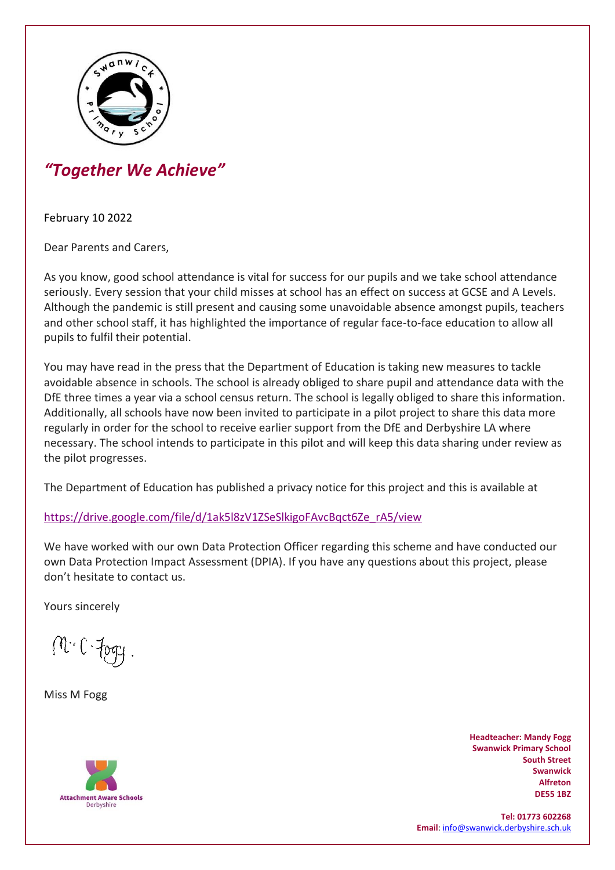

## *"Together We Achieve"*

February 10 2022

Dear Parents and Carers,

As you know, good school attendance is vital for success for our pupils and we take school attendance seriously. Every session that your child misses at school has an effect on success at GCSE and A Levels. Although the pandemic is still present and causing some unavoidable absence amongst pupils, teachers and other school staff, it has highlighted the importance of regular face-to-face education to allow all pupils to fulfil their potential.

You may have read in the press that the Department of Education is taking new measures to tackle avoidable absence in schools. The school is already obliged to share pupil and attendance data with the DfE three times a year via a school census return. The school is legally obliged to share this information. Additionally, all schools have now been invited to participate in a pilot project to share this data more regularly in order for the school to receive earlier support from the DfE and Derbyshire LA where necessary. The school intends to participate in this pilot and will keep this data sharing under review as the pilot progresses.

The Department of Education has published a privacy notice for this project and this is available at

[https://drive.google.com/file/d/1ak5l8zV1ZSeSlkigoFAvcBqct6Ze\\_rA5/view](https://drive.google.com/file/d/1ak5l8zV1ZSeSlkigoFAvcBqct6Ze_rA5/view)

We have worked with our own Data Protection Officer regarding this scheme and have conducted our own Data Protection Impact Assessment (DPIA). If you have any questions about this project, please don't hesitate to contact us.

Yours sincerely

M.C. Fog

Miss M Fogg



**Headteacher: Mandy Fogg Swanwick Primary School South Street Swanwick Alfreton DE55 1BZ** 

**Tel: 01773 602268 Email**[: info@swanwick.derbyshire.sch.uk](mailto:info@swanwick.derbyshire.sch.uk)